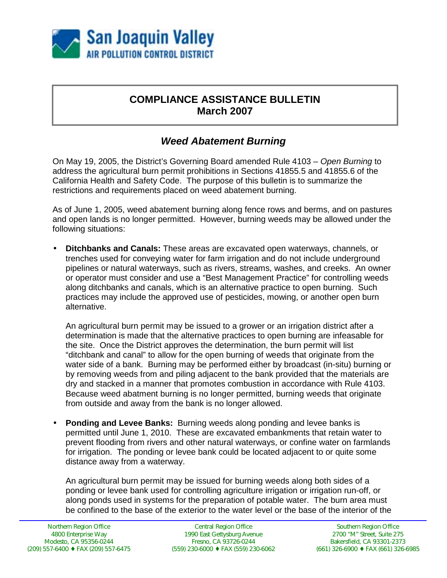

## **COMPLIANCE ASSISTANCE BULLETIN March 2007**

## *Weed Abatement Burning*

On May 19, 2005, the District's Governing Board amended Rule 4103 – *Open Burning* to address the agricultural burn permit prohibitions in Sections 41855.5 and 41855.6 of the California Health and Safety Code. The purpose of this bulletin is to summarize the restrictions and requirements placed on weed abatement burning.

As of June 1, 2005, weed abatement burning along fence rows and berms, and on pastures and open lands is no longer permitted. However, burning weeds may be allowed under the following situations:

• **Ditchbanks and Canals:** These areas are excavated open waterways, channels, or trenches used for conveying water for farm irrigation and do not include underground pipelines or natural waterways, such as rivers, streams, washes, and creeks. An owner or operator must consider and use a "Best Management Practice" for controlling weeds along ditchbanks and canals, which is an alternative practice to open burning. Such practices may include the approved use of pesticides, mowing, or another open burn alternative.

An agricultural burn permit may be issued to a grower or an irrigation district after a determination is made that the alternative practices to open burning are infeasable for the site. Once the District approves the determination, the burn permit will list "ditchbank and canal" to allow for the open burning of weeds that originate from the water side of a bank. Burning may be performed either by broadcast (in-situ) burning or by removing weeds from and piling adjacent to the bank provided that the materials are dry and stacked in a manner that promotes combustion in accordance with Rule 4103. Because weed abatment burning is no longer permitted, burning weeds that originate from outside and away from the bank is no longer allowed.

• **Ponding and Levee Banks:** Burning weeds along ponding and levee banks is permitted until June 1, 2010. These are excavated embankments that retain water to prevent flooding from rivers and other natural waterways, or confine water on farmlands for irrigation. The ponding or levee bank could be located adjacent to or quite some distance away from a waterway.

An agricultural burn permit may be issued for burning weeds along both sides of a ponding or levee bank used for controlling agriculture irrigation or irrigation run-off, or along ponds used in systems for the preparation of potable water. The burn area must be confined to the base of the exterior to the water level or the base of the interior of the